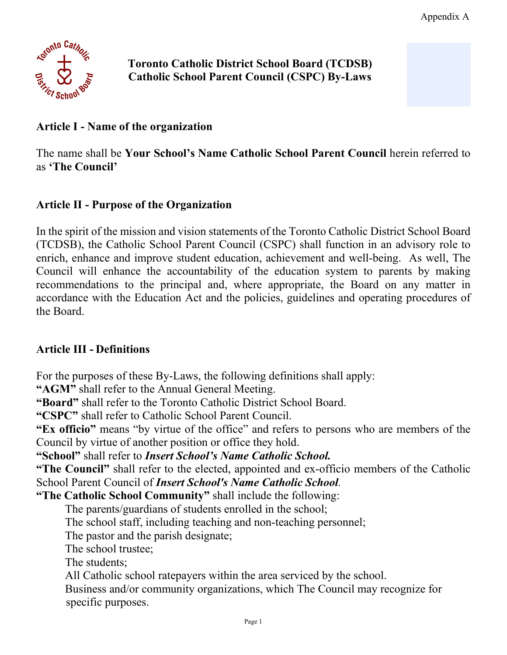

**Toronto Catholic District School Board (TCDSB) Catholic School Parent Council (CSPC) By-Laws**

### **Article I - Name of the organization**

The name shall be **Your School's Name Catholic School Parent Council** herein referred to as **'The Council'** 

#### **Article II - Purpose of the Organization**

In the spirit of the mission and vision statements of the Toronto Catholic District School Board (TCDSB), the Catholic School Parent Council (CSPC) shall function in an advisory role to enrich, enhance and improve student education, achievement and well-being. As well, The Council will enhance the accountability of the education system to parents by making recommendations to the principal and, where appropriate, the Board on any matter in accordance with the Education Act and the policies, guidelines and operating procedures of the Board.

#### **Article III - Definitions**

For the purposes of these By-Laws, the following definitions shall apply:

**"AGM"** shall refer to the Annual General Meeting.

**"Board"** shall refer to the Toronto Catholic District School Board.

**"CSPC"** shall refer to Catholic School Parent Council.

**"Ex officio"** means "by virtue of the office" and refers to persons who are members of the Council by virtue of another position or office they hold.

**"School"** shall refer to *Insert School's Name Catholic School.*

**"The Council"** shall refer to the elected, appointed and ex-officio members of the Catholic School Parent Council of *Insert School's Name Catholic School.*

**"The Catholic School Community"** shall include the following:

The parents/guardians of students enrolled in the school;

The school staff, including teaching and non-teaching personnel;

The pastor and the parish designate;

The school trustee;

The students;

All Catholic school ratepayers within the area serviced by the school.

 Business and/or community organizations, which The Council may recognize for specific purposes.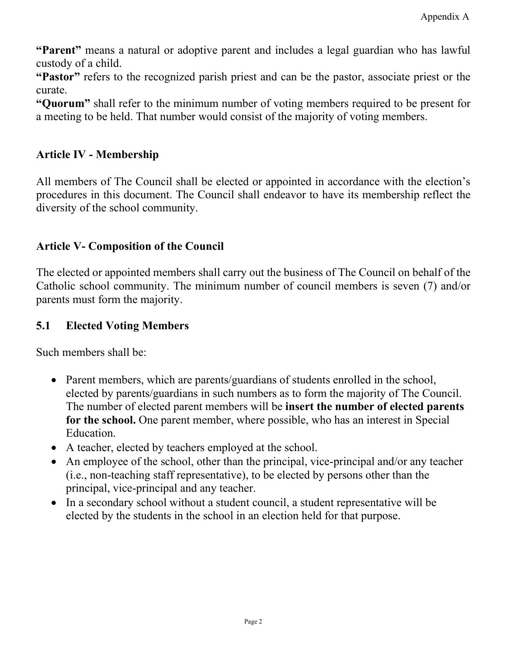**"Parent"** means a natural or adoptive parent and includes a legal guardian who has lawful custody of a child.

**"Pastor"** refers to the recognized parish priest and can be the pastor, associate priest or the curate.

**"Quorum"** shall refer to the minimum number of voting members required to be present for a meeting to be held. That number would consist of the majority of voting members.

#### **Article IV - Membership**

All members of The Council shall be elected or appointed in accordance with the election's procedures in this document. The Council shall endeavor to have its membership reflect the diversity of the school community.

### **Article V- Composition of the Council**

The elected or appointed members shall carry out the business of The Council on behalf of the Catholic school community. The minimum number of council members is seven (7) and/or parents must form the majority.

#### **5.1 Elected Voting Members**

Such members shall be:

- Parent members, which are parents/guardians of students enrolled in the school, elected by parents/guardians in such numbers as to form the majority of The Council. The number of elected parent members will be **insert the number of elected parents for the school.** One parent member, where possible, who has an interest in Special Education.
- A teacher, elected by teachers employed at the school.
- An employee of the school, other than the principal, vice-principal and/or any teacher (i.e., non-teaching staff representative), to be elected by persons other than the principal, vice-principal and any teacher.
- In a secondary school without a student council, a student representative will be elected by the students in the school in an election held for that purpose.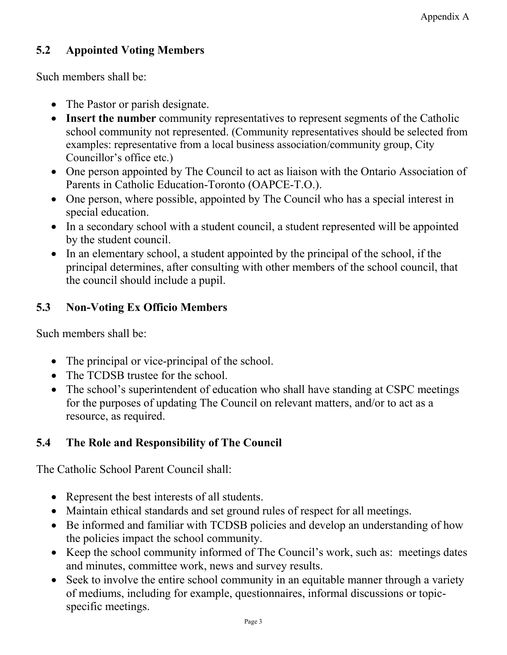# **5.2 Appointed Voting Members**

Such members shall be:

- The Pastor or parish designate.
- **Insert the number** community representatives to represent segments of the Catholic school community not represented. (Community representatives should be selected from examples: representative from a local business association/community group, City Councillor's office etc.)
- One person appointed by The Council to act as liaison with the Ontario Association of Parents in Catholic Education-Toronto (OAPCE-T.O.).
- One person, where possible, appointed by The Council who has a special interest in special education.
- In a secondary school with a student council, a student represented will be appointed by the student council.
- In an elementary school, a student appointed by the principal of the school, if the principal determines, after consulting with other members of the school council, that the council should include a pupil.

# **5.3 Non-Voting Ex Officio Members**

Such members shall be:

- The principal or vice-principal of the school.
- The TCDSB trustee for the school.
- The school's superintendent of education who shall have standing at CSPC meetings for the purposes of updating The Council on relevant matters, and/or to act as a resource, as required.

# **5.4 The Role and Responsibility of The Council**

The Catholic School Parent Council shall:

- Represent the best interests of all students.
- Maintain ethical standards and set ground rules of respect for all meetings.
- Be informed and familiar with TCDSB policies and develop an understanding of how the policies impact the school community.
- Keep the school community informed of The Council's work, such as: meetings dates and minutes, committee work, news and survey results.
- Seek to involve the entire school community in an equitable manner through a variety of mediums, including for example, questionnaires, informal discussions or topicspecific meetings.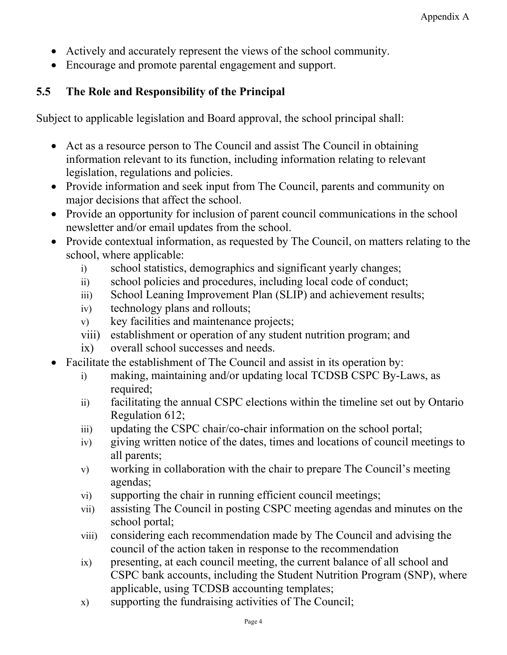- Actively and accurately represent the views of the school community.
- Encourage and promote parental engagement and support.

# **5.5 The Role and Responsibility of the Principal**

Subject to applicable legislation and Board approval, the school principal shall:

- Act as a resource person to The Council and assist The Council in obtaining information relevant to its function, including information relating to relevant legislation, regulations and policies.
- Provide information and seek input from The Council, parents and community on major decisions that affect the school.
- Provide an opportunity for inclusion of parent council communications in the school newsletter and/or email updates from the school.
- Provide contextual information, as requested by The Council, on matters relating to the school, where applicable:
	- i) school statistics, demographics and significant yearly changes;
	- ii) school policies and procedures, including local code of conduct;
	- iii) School Leaning Improvement Plan (SLIP) and achievement results;
	- iv) technology plans and rollouts;
	- v) key facilities and maintenance projects;
	- viii) establishment or operation of any student nutrition program; and
	- ix) overall school successes and needs.
- Facilitate the establishment of The Council and assist in its operation by:
	- i) making, maintaining and/or updating local TCDSB CSPC By-Laws, as required:
	- ii) facilitating the annual CSPC elections within the timeline set out by Ontario Regulation 612;
	- iii) updating the CSPC chair/co-chair information on the school portal;
	- iv) giving written notice of the dates, times and locations of council meetings to all parents;
	- v) working in collaboration with the chair to prepare The Council's meeting agendas;
	- vi) supporting the chair in running efficient council meetings;
	- vii) assisting The Council in posting CSPC meeting agendas and minutes on the school portal;
	- viii) considering each recommendation made by The Council and advising the council of the action taken in response to the recommendation
	- ix) presenting, at each council meeting, the current balance of all school and CSPC bank accounts, including the Student Nutrition Program (SNP), where applicable, using TCDSB accounting templates;
	- x) supporting the fundraising activities of The Council;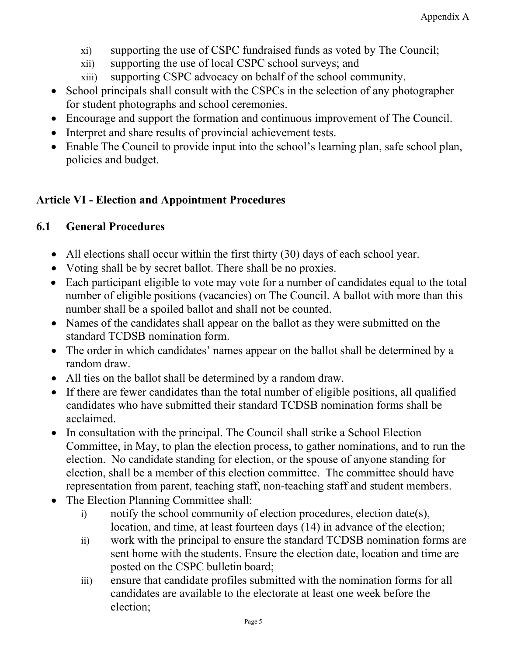- xi) supporting the use of CSPC fundraised funds as voted by The Council;
- xii) supporting the use of local CSPC school surveys; and
- xiii) supporting CSPC advocacy on behalf of the school community.
- School principals shall consult with the CSPCs in the selection of any photographer for student photographs and school ceremonies.
- Encourage and support the formation and continuous improvement of The Council.
- Interpret and share results of provincial achievement tests.
- Enable The Council to provide input into the school's learning plan, safe school plan, policies and budget.

# **Article VI - Election and Appointment Procedures**

# **6.1 General Procedures**

- All elections shall occur within the first thirty (30) days of each school year.
- Voting shall be by secret ballot. There shall be no proxies.
- Each participant eligible to vote may vote for a number of candidates equal to the total number of eligible positions (vacancies) on The Council. A ballot with more than this number shall be a spoiled ballot and shall not be counted.
- Names of the candidates shall appear on the ballot as they were submitted on the standard TCDSB nomination form.
- The order in which candidates' names appear on the ballot shall be determined by a random draw.
- All ties on the ballot shall be determined by a random draw.
- If there are fewer candidates than the total number of eligible positions, all qualified candidates who have submitted their standard TCDSB nomination forms shall be acclaimed.
- In consultation with the principal. The Council shall strike a School Election Committee, in May, to plan the election process, to gather nominations, and to run the election. No candidate standing for election, or the spouse of anyone standing for election, shall be a member of this election committee. The committee should have representation from parent, teaching staff, non-teaching staff and student members.
- The Election Planning Committee shall:
	- i) notify the school community of election procedures, election date(s), location, and time, at least fourteen days (14) in advance of the election;
	- ii) work with the principal to ensure the standard TCDSB nomination forms are sent home with the students. Ensure the election date, location and time are posted on the CSPC bulletin board;
	- iii) ensure that candidate profiles submitted with the nomination forms for all candidates are available to the electorate at least one week before the election;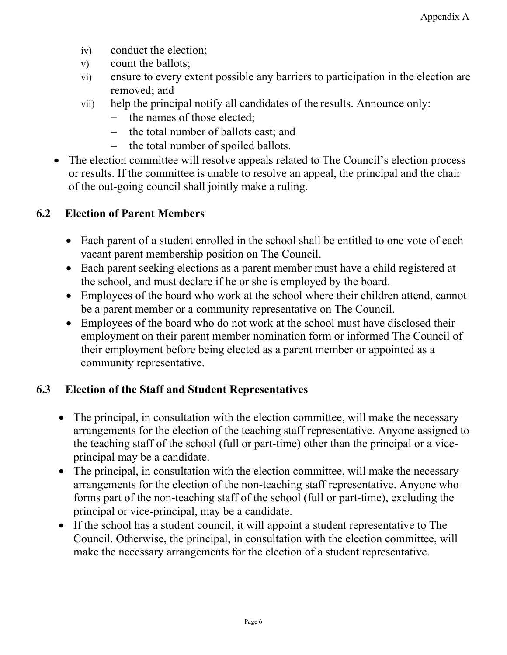- iv) conduct the election;
- v) count the ballots;
- vi) ensure to every extent possible any barriers to participation in the election are removed; and
- vii) help the principal notify all candidates of the results. Announce only:
	- − the names of those elected;
	- the total number of ballots cast; and
	- − the total number of spoiled ballots.
- The election committee will resolve appeals related to The Council's election process or results. If the committee is unable to resolve an appeal, the principal and the chair of the out-going council shall jointly make a ruling.

# **6.2 Election of Parent Members**

- Each parent of a student enrolled in the school shall be entitled to one vote of each vacant parent membership position on The Council.
- Each parent seeking elections as a parent member must have a child registered at the school, and must declare if he or she is employed by the board.
- Employees of the board who work at the school where their children attend, cannot be a parent member or a community representative on The Council.
- Employees of the board who do not work at the school must have disclosed their employment on their parent member nomination form or informed The Council of their employment before being elected as a parent member or appointed as a community representative.

# **6.3 Election of the Staff and Student Representatives**

- The principal, in consultation with the election committee, will make the necessary arrangements for the election of the teaching staff representative. Anyone assigned to the teaching staff of the school (full or part-time) other than the principal or a viceprincipal may be a candidate.
- The principal, in consultation with the election committee, will make the necessary arrangements for the election of the non-teaching staff representative. Anyone who forms part of the non-teaching staff of the school (full or part-time), excluding the principal or vice-principal, may be a candidate.
- If the school has a student council, it will appoint a student representative to The Council. Otherwise, the principal, in consultation with the election committee, will make the necessary arrangements for the election of a student representative.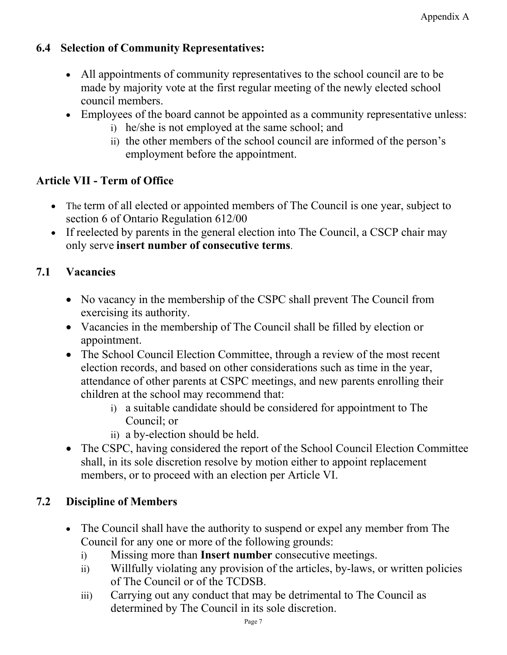# **6.4 Selection of Community Representatives:**

- All appointments of community representatives to the school council are to be made by majority vote at the first regular meeting of the newly elected school council members.
- Employees of the board cannot be appointed as a community representative unless:
	- i) he/she is not employed at the same school; and
	- ii) the other members of the school council are informed of the person's employment before the appointment.

# **Article VII - Term of Office**

- The term of all elected or appointed members of The Council is one year, subject to section 6 of Ontario Regulation 612/00
- If reelected by parents in the general election into The Council, a CSCP chair may only serve **insert number of consecutive terms**.

# **7.1 Vacancies**

- No vacancy in the membership of the CSPC shall prevent The Council from exercising its authority.
- Vacancies in the membership of The Council shall be filled by election or appointment.
- The School Council Election Committee, through a review of the most recent election records, and based on other considerations such as time in the year, attendance of other parents at CSPC meetings, and new parents enrolling their children at the school may recommend that:
	- i) a suitable candidate should be considered for appointment to The Council; or
	- ii) a by-election should be held.
- The CSPC, having considered the report of the School Council Election Committee shall, in its sole discretion resolve by motion either to appoint replacement members, or to proceed with an election per Article VI.

# **7.2 Discipline of Members**

- The Council shall have the authority to suspend or expel any member from The Council for any one or more of the following grounds:
	- i) Missing more than **Insert number** consecutive meetings.
	- ii) Willfully violating any provision of the articles, by-laws, or written policies of The Council or of the TCDSB.
	- iii) Carrying out any conduct that may be detrimental to The Council as determined by The Council in its sole discretion.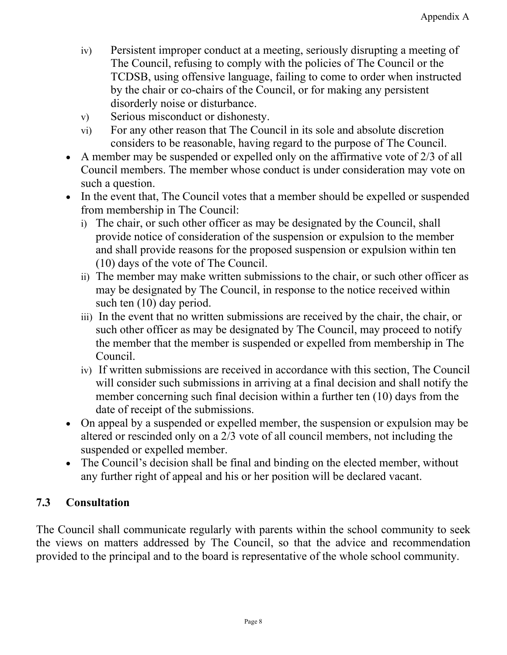- iv) Persistent improper conduct at a meeting, seriously disrupting a meeting of The Council, refusing to comply with the policies of The Council or the TCDSB, using offensive language, failing to come to order when instructed by the chair or co-chairs of the Council, or for making any persistent disorderly noise or disturbance.
- v) Serious misconduct or dishonesty.
- vi) For any other reason that The Council in its sole and absolute discretion considers to be reasonable, having regard to the purpose of The Council.
- A member may be suspended or expelled only on the affirmative vote of 2/3 of all Council members. The member whose conduct is under consideration may vote on such a question.
- In the event that, The Council votes that a member should be expelled or suspended from membership in The Council:
	- i) The chair, or such other officer as may be designated by the Council, shall provide notice of consideration of the suspension or expulsion to the member and shall provide reasons for the proposed suspension or expulsion within ten (10) days of the vote of The Council.
	- ii) The member may make written submissions to the chair, or such other officer as may be designated by The Council, in response to the notice received within such ten  $(10)$  day period.
	- iii) In the event that no written submissions are received by the chair, the chair, or such other officer as may be designated by The Council, may proceed to notify the member that the member is suspended or expelled from membership in The Council.
	- iv) If written submissions are received in accordance with this section, The Council will consider such submissions in arriving at a final decision and shall notify the member concerning such final decision within a further ten (10) days from the date of receipt of the submissions.
- On appeal by a suspended or expelled member, the suspension or expulsion may be altered or rescinded only on a 2/3 vote of all council members, not including the suspended or expelled member.
- The Council's decision shall be final and binding on the elected member, without any further right of appeal and his or her position will be declared vacant.

# **7.3 Consultation**

The Council shall communicate regularly with parents within the school community to seek the views on matters addressed by The Council, so that the advice and recommendation provided to the principal and to the board is representative of the whole school community.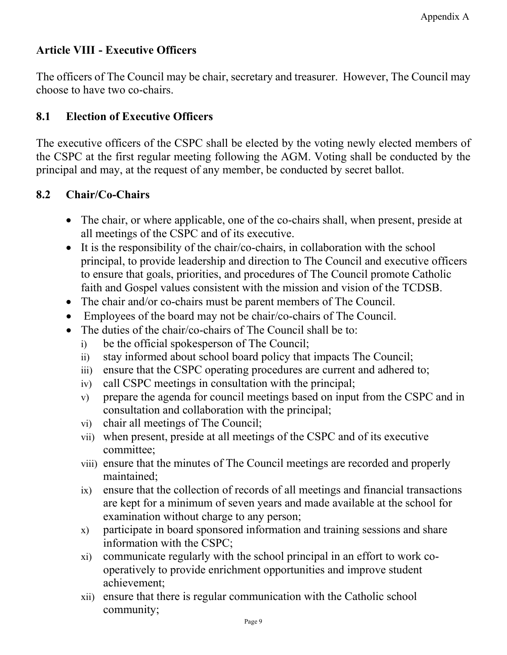# **Article VIII - Executive Officers**

The officers of The Council may be chair, secretary and treasurer. However, The Council may choose to have two co-chairs.

# **8.1 Election of Executive Officers**

The executive officers of the CSPC shall be elected by the voting newly elected members of the CSPC at the first regular meeting following the AGM. Voting shall be conducted by the principal and may, at the request of any member, be conducted by secret ballot.

# **8.2 Chair/Co-Chairs**

- The chair, or where applicable, one of the co-chairs shall, when present, preside at all meetings of the CSPC and of its executive.
- It is the responsibility of the chair/co-chairs, in collaboration with the school principal, to provide leadership and direction to The Council and executive officers to ensure that goals, priorities, and procedures of The Council promote Catholic faith and Gospel values consistent with the mission and vision of the TCDSB.
- The chair and/or co-chairs must be parent members of The Council.
- Employees of the board may not be chair/co-chairs of The Council.
- The duties of the chair/co-chairs of The Council shall be to:
	- i) be the official spokesperson of The Council;
	- ii) stay informed about school board policy that impacts The Council;
	- iii) ensure that the CSPC operating procedures are current and adhered to;
	- iv) call CSPC meetings in consultation with the principal;
	- v) prepare the agenda for council meetings based on input from the CSPC and in consultation and collaboration with the principal;
	- vi) chair all meetings of The Council;
	- vii) when present, preside at all meetings of the CSPC and of its executive committee;
	- viii) ensure that the minutes of The Council meetings are recorded and properly maintained;
	- ix) ensure that the collection of records of all meetings and financial transactions are kept for a minimum of seven years and made available at the school for examination without charge to any person;
	- x) participate in board sponsored information and training sessions and share information with the CSPC;
	- xi) communicate regularly with the school principal in an effort to work cooperatively to provide enrichment opportunities and improve student achievement;
	- xii) ensure that there is regular communication with the Catholic school community;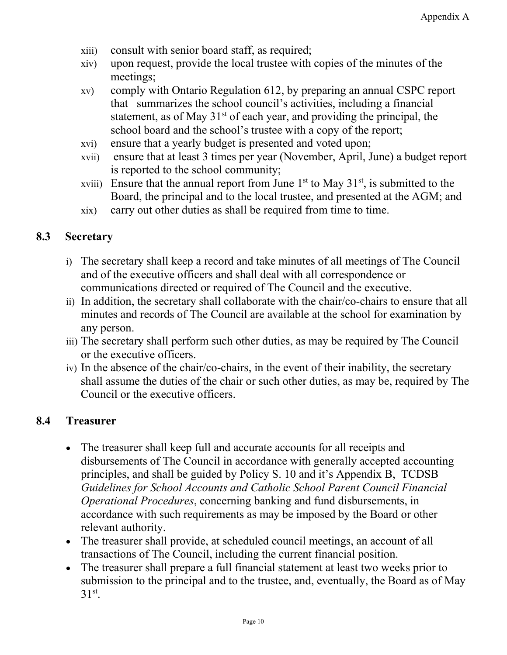- xiii) consult with senior board staff, as required;
- xiv) upon request, provide the local trustee with copies of the minutes of the meetings;
- xv) comply with Ontario Regulation 612, by preparing an annual CSPC report that summarizes the school council's activities, including a financial statement, as of May  $31<sup>st</sup>$  of each year, and providing the principal, the school board and the school's trustee with a copy of the report;
- xvi) ensure that a yearly budget is presented and voted upon;
- xvii) ensure that at least 3 times per year (November, April, June) a budget report is reported to the school community;
- xviii) Ensure that the annual report from June  $1<sup>st</sup>$  to May  $31<sup>st</sup>$ , is submitted to the Board, the principal and to the local trustee, and presented at the AGM; and
- xix) carry out other duties as shall be required from time to time.

#### **8.3 Secretary**

- i) The secretary shall keep a record and take minutes of all meetings of The Council and of the executive officers and shall deal with all correspondence or communications directed or required of The Council and the executive.
- ii) In addition, the secretary shall collaborate with the chair/co-chairs to ensure that all minutes and records of The Council are available at the school for examination by any person.
- iii) The secretary shall perform such other duties, as may be required by The Council or the executive officers.
- iv) In the absence of the chair/co-chairs, in the event of their inability, the secretary shall assume the duties of the chair or such other duties, as may be, required by The Council or the executive officers.

### **8.4 Treasurer**

- The treasurer shall keep full and accurate accounts for all receipts and disbursements of The Council in accordance with generally accepted accounting principles, and shall be guided by Policy S. 10 and it's Appendix B, TCDSB *Guidelines for School Accounts and Catholic School Parent Council Financial Operational Procedures*, concerning banking and fund disbursements, in accordance with such requirements as may be imposed by the Board or other relevant authority.
- The treasurer shall provide, at scheduled council meetings, an account of all transactions of The Council, including the current financial position.
- The treasurer shall prepare a full financial statement at least two weeks prior to submission to the principal and to the trustee, and, eventually, the Board as of May  $31<sup>st</sup>$ .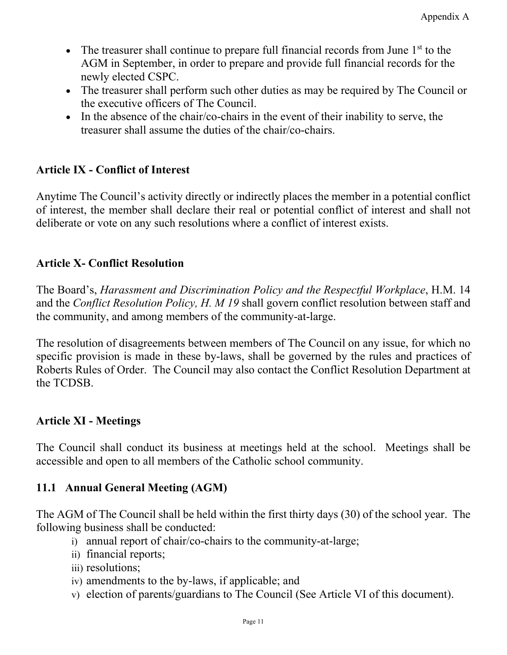- The treasurer shall continue to prepare full financial records from June  $1<sup>st</sup>$  to the AGM in September, in order to prepare and provide full financial records for the newly elected CSPC.
- The treasurer shall perform such other duties as may be required by The Council or the executive officers of The Council.
- In the absence of the chair/co-chairs in the event of their inability to serve, the treasurer shall assume the duties of the chair/co-chairs.

# **Article IX - Conflict of Interest**

Anytime The Council's activity directly or indirectly places the member in a potential conflict of interest, the member shall declare their real or potential conflict of interest and shall not deliberate or vote on any such resolutions where a conflict of interest exists.

### **Article X- Conflict Resolution**

The Board's, *Harassment and Discrimination Policy and the Respectful Workplace*, H.M. 14 and the *Conflict Resolution Policy, H. M 19* shall govern conflict resolution between staff and the community, and among members of the community-at-large.

The resolution of disagreements between members of The Council on any issue, for which no specific provision is made in these by-laws, shall be governed by the rules and practices of Roberts Rules of Order. The Council may also contact the Conflict Resolution Department at the TCDSB.

### **Article XI - Meetings**

The Council shall conduct its business at meetings held at the school. Meetings shall be accessible and open to all members of the Catholic school community.

### **11.1 Annual General Meeting (AGM)**

The AGM of The Council shall be held within the first thirty days (30) of the school year. The following business shall be conducted:

- i) annual report of chair/co-chairs to the community-at-large;
- ii) financial reports;
- iii) resolutions;
- iv) amendments to the by-laws, if applicable; and
- v) election of parents/guardians to The Council (See Article VI of this document).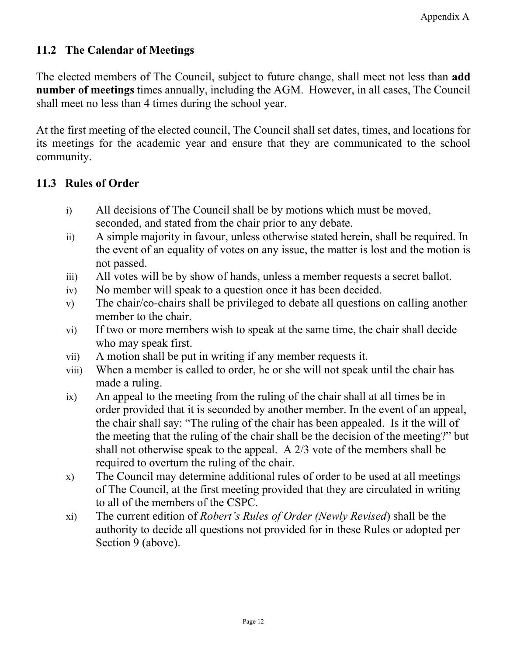### **11.2 The Calendar of Meetings**

The elected members of The Council, subject to future change, shall meet not less than **add number of meetings** times annually, including the AGM. However, in all cases, The Council shall meet no less than 4 times during the school year.

At the first meeting of the elected council, The Council shall set dates, times, and locations for its meetings for the academic year and ensure that they are communicated to the school community.

### **11.3 Rules of Order**

- i) All decisions of The Council shall be by motions which must be moved, seconded, and stated from the chair prior to any debate.
- ii) A simple majority in favour, unless otherwise stated herein, shall be required. In the event of an equality of votes on any issue, the matter is lost and the motion is not passed.
- iii) All votes will be by show of hands, unless a member requests a secret ballot.
- iv) No member will speak to a question once it has been decided.
- v) The chair/co-chairs shall be privileged to debate all questions on calling another member to the chair.
- vi) If two or more members wish to speak at the same time, the chair shall decide who may speak first.
- vii) A motion shall be put in writing if any member requests it.
- viii) When a member is called to order, he or she will not speak until the chair has made a ruling.
- ix) An appeal to the meeting from the ruling of the chair shall at all times be in order provided that it is seconded by another member. In the event of an appeal, the chair shall say: "The ruling of the chair has been appealed. Is it the will of the meeting that the ruling of the chair shall be the decision of the meeting?" but shall not otherwise speak to the appeal. A 2/3 vote of the members shall be required to overturn the ruling of the chair.
- x) The Council may determine additional rules of order to be used at all meetings of The Council, at the first meeting provided that they are circulated in writing to all of the members of the CSPC.
- xi) The current edition of *Robert's Rules of Order (Newly Revised*) shall be the authority to decide all questions not provided for in these Rules or adopted per Section 9 (above).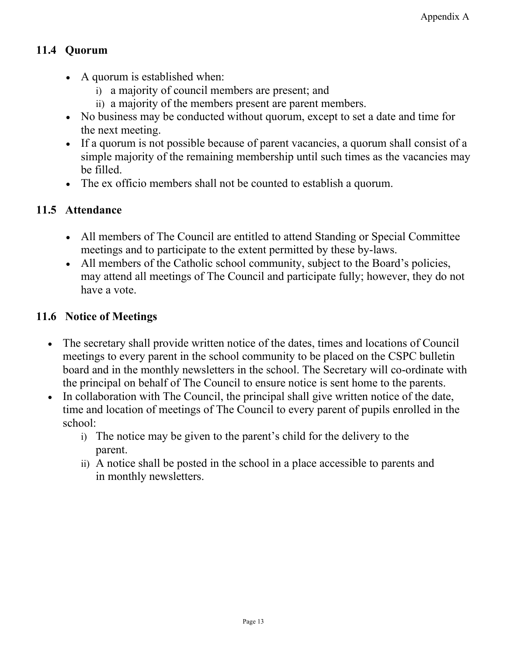# **11.4 Quorum**

- A quorum is established when:
	- i) a majority of council members are present; and
	- ii) a majority of the members present are parent members.
- No business may be conducted without quorum, except to set a date and time for the next meeting.
- If a quorum is not possible because of parent vacancies, a quorum shall consist of a simple majority of the remaining membership until such times as the vacancies may be filled.
- The ex officio members shall not be counted to establish a quorum.

# **11.5 Attendance**

- All members of The Council are entitled to attend Standing or Special Committee meetings and to participate to the extent permitted by these by-laws.
- All members of the Catholic school community, subject to the Board's policies, may attend all meetings of The Council and participate fully; however, they do not have a vote.

# **11.6 Notice of Meetings**

- The secretary shall provide written notice of the dates, times and locations of Council meetings to every parent in the school community to be placed on the CSPC bulletin board and in the monthly newsletters in the school. The Secretary will co-ordinate with the principal on behalf of The Council to ensure notice is sent home to the parents.
- In collaboration with The Council, the principal shall give written notice of the date, time and location of meetings of The Council to every parent of pupils enrolled in the school:
	- i) The notice may be given to the parent's child for the delivery to the parent.
	- ii) A notice shall be posted in the school in a place accessible to parents and in monthly newsletters.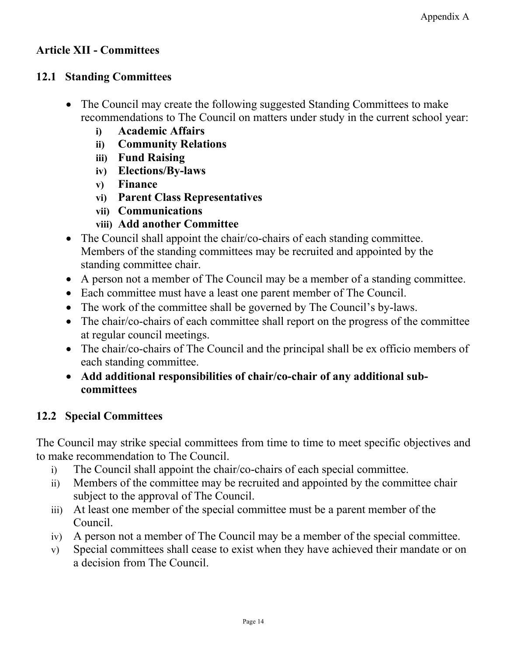### **Article XII - Committees**

### **12.1 Standing Committees**

- The Council may create the following suggested Standing Committees to make recommendations to The Council on matters under study in the current school year:
	- **i) Academic Affairs**
	- **ii) Community Relations**
	- **iii) Fund Raising**
	- **iv) Elections/By-laws**
	- **v) Finance**
	- **vi) Parent Class Representatives**
	- **vii) Communications**
	- **viii) Add another Committee**
- The Council shall appoint the chair/co-chairs of each standing committee. Members of the standing committees may be recruited and appointed by the standing committee chair.
- A person not a member of The Council may be a member of a standing committee.
- Each committee must have a least one parent member of The Council.
- The work of the committee shall be governed by The Council's by-laws.
- The chair/co-chairs of each committee shall report on the progress of the committee at regular council meetings.
- The chair/co-chairs of The Council and the principal shall be ex officio members of each standing committee.
- **Add additional responsibilities of chair/co-chair of any additional subcommittees**

# **12.2 Special Committees**

The Council may strike special committees from time to time to meet specific objectives and to make recommendation to The Council.

- i) The Council shall appoint the chair/co-chairs of each special committee.
- ii) Members of the committee may be recruited and appointed by the committee chair subject to the approval of The Council.
- iii) At least one member of the special committee must be a parent member of the Council.
- iv) A person not a member of The Council may be a member of the special committee.
- v) Special committees shall cease to exist when they have achieved their mandate or on a decision from The Council.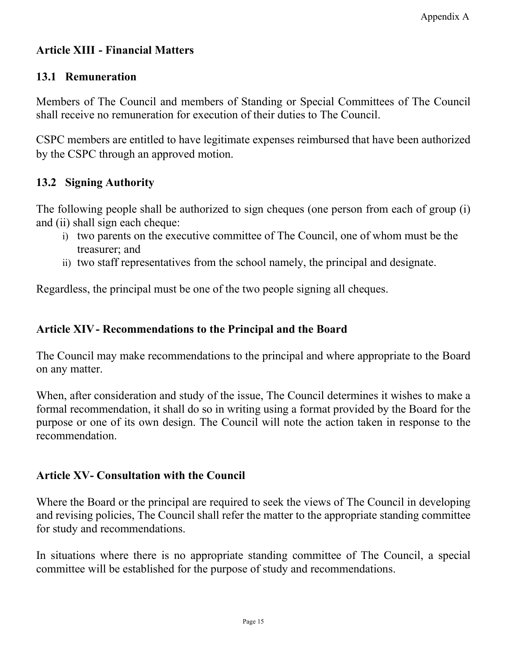# **Article XIII - Financial Matters**

# **13.1 Remuneration**

Members of The Council and members of Standing or Special Committees of The Council shall receive no remuneration for execution of their duties to The Council.

CSPC members are entitled to have legitimate expenses reimbursed that have been authorized by the CSPC through an approved motion.

# **13.2 Signing Authority**

The following people shall be authorized to sign cheques (one person from each of group (i) and (ii) shall sign each cheque:

- i) two parents on the executive committee of The Council, one of whom must be the treasurer; and
- ii) two staff representatives from the school namely, the principal and designate.

Regardless, the principal must be one of the two people signing all cheques.

# **Article XIV- Recommendations to the Principal and the Board**

The Council may make recommendations to the principal and where appropriate to the Board on any matter.

When, after consideration and study of the issue, The Council determines it wishes to make a formal recommendation, it shall do so in writing using a format provided by the Board for the purpose or one of its own design. The Council will note the action taken in response to the recommendation.

### **Article XV- Consultation with the Council**

Where the Board or the principal are required to seek the views of The Council in developing and revising policies, The Council shall refer the matter to the appropriate standing committee for study and recommendations.

In situations where there is no appropriate standing committee of The Council, a special committee will be established for the purpose of study and recommendations.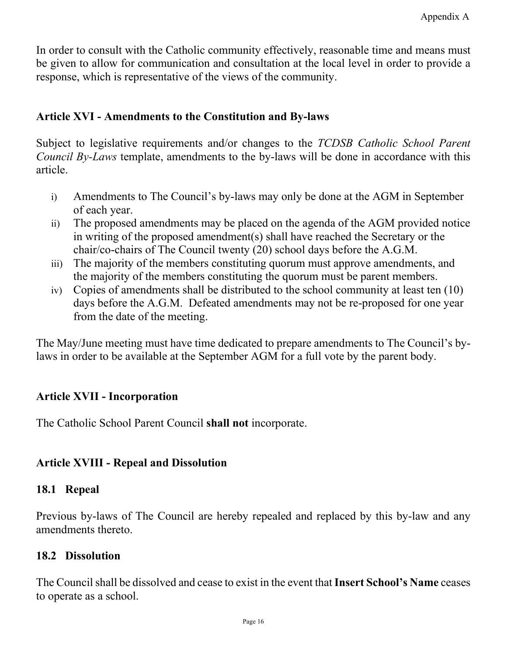In order to consult with the Catholic community effectively, reasonable time and means must be given to allow for communication and consultation at the local level in order to provide a response, which is representative of the views of the community.

#### **Article XVI - Amendments to the Constitution and By-laws**

Subject to legislative requirements and/or changes to the *TCDSB Catholic School Parent Council By-Laws* template, amendments to the by-laws will be done in accordance with this article.

- i) Amendments to The Council's by-laws may only be done at the AGM in September of each year.
- ii) The proposed amendments may be placed on the agenda of the AGM provided notice in writing of the proposed amendment(s) shall have reached the Secretary or the chair/co-chairs of The Council twenty (20) school days before the A.G.M.
- iii) The majority of the members constituting quorum must approve amendments, and the majority of the members constituting the quorum must be parent members.
- iv) Copies of amendments shall be distributed to the school community at least ten (10) days before the A.G.M. Defeated amendments may not be re-proposed for one year from the date of the meeting.

The May/June meeting must have time dedicated to prepare amendments to The Council's bylaws in order to be available at the September AGM for a full vote by the parent body.

### **Article XVII - Incorporation**

The Catholic School Parent Council **shall not** incorporate.

### **Article XVIII - Repeal and Dissolution**

#### **18.1 Repeal**

Previous by-laws of The Council are hereby repealed and replaced by this by-law and any amendments thereto.

#### **18.2 Dissolution**

The Councilshall be dissolved and cease to exist in the event that **Insert School's Name** ceases to operate as a school.